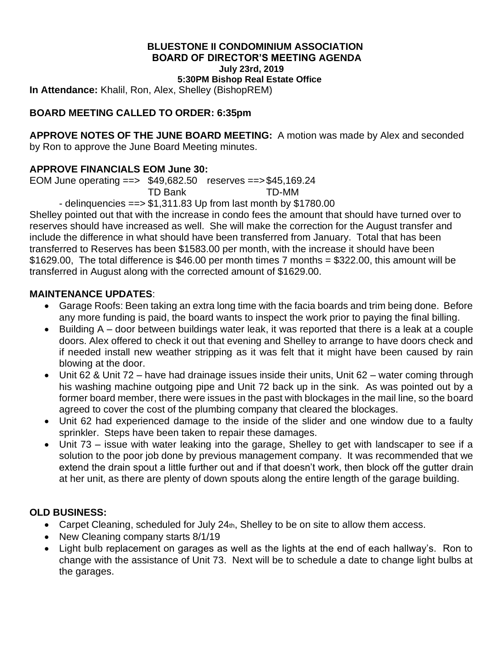# **BLUESTONE II CONDOMINIUM ASSOCIATION BOARD OF DIRECTOR'S MEETING AGENDA July 23rd, 2019**

**5:30PM Bishop Real Estate Office**

**In Attendance:** Khalil, Ron, Alex, Shelley (BishopREM)

## **BOARD MEETING CALLED TO ORDER: 6:35pm**

**APPROVE NOTES OF THE JUNE BOARD MEETING:** A motion was made by Alex and seconded by Ron to approve the June Board Meeting minutes.

#### **APPROVE FINANCIALS EOM June 30:**

EOM June operating ==> \$49,682.50 reserves ==>\$45,169.24

TD Bank TD-MM

- delinguencies  $==$  \$1,311.83 Up from last month by \$1780.00

Shelley pointed out that with the increase in condo fees the amount that should have turned over to reserves should have increased as well. She will make the correction for the August transfer and include the difference in what should have been transferred from January. Total that has been transferred to Reserves has been \$1583.00 per month, with the increase it should have been \$1629.00, The total difference is \$46.00 per month times 7 months = \$322.00, this amount will be transferred in August along with the corrected amount of \$1629.00.

#### **MAINTENANCE UPDATES**:

- Garage Roofs: Been taking an extra long time with the facia boards and trim being done. Before any more funding is paid, the board wants to inspect the work prior to paying the final billing.
- Building A door between buildings water leak, it was reported that there is a leak at a couple doors. Alex offered to check it out that evening and Shelley to arrange to have doors check and if needed install new weather stripping as it was felt that it might have been caused by rain blowing at the door.
- Unit 62 & Unit 72 have had drainage issues inside their units, Unit 62 water coming through his washing machine outgoing pipe and Unit 72 back up in the sink. As was pointed out by a former board member, there were issues in the past with blockages in the mail line, so the board agreed to cover the cost of the plumbing company that cleared the blockages.
- Unit 62 had experienced damage to the inside of the slider and one window due to a faulty sprinkler. Steps have been taken to repair these damages.
- Unit 73 issue with water leaking into the garage, Shelley to get with landscaper to see if a solution to the poor job done by previous management company. It was recommended that we extend the drain spout a little further out and if that doesn't work, then block off the gutter drain at her unit, as there are plenty of down spouts along the entire length of the garage building.

#### **OLD BUSINESS:**

- Carpet Cleaning, scheduled for July 24th, Shelley to be on site to allow them access.
- New Cleaning company starts 8/1/19
- Light bulb replacement on garages as well as the lights at the end of each hallway's. Ron to change with the assistance of Unit 73. Next will be to schedule a date to change light bulbs at the garages.